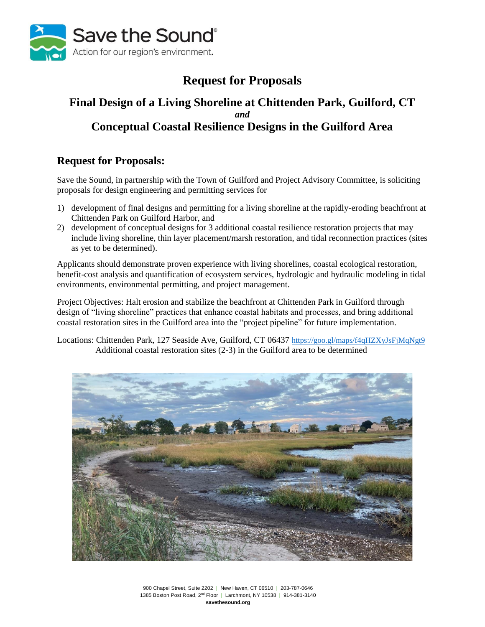

# **Request for Proposals**

# **Final Design of a Living Shoreline at Chittenden Park, Guilford, CT** *and* **Conceptual Coastal Resilience Designs in the Guilford Area**

# **Request for Proposals:**

Save the Sound, in partnership with the Town of Guilford and Project Advisory Committee, is soliciting proposals for design engineering and permitting services for

- 1) development of final designs and permitting for a living shoreline at the rapidly-eroding beachfront at Chittenden Park on Guilford Harbor, and
- 2) development of conceptual designs for 3 additional coastal resilience restoration projects that may include living shoreline, thin layer placement/marsh restoration, and tidal reconnection practices (sites as yet to be determined).

Applicants should demonstrate proven experience with living shorelines, coastal ecological restoration, benefit-cost analysis and quantification of ecosystem services, hydrologic and hydraulic modeling in tidal environments, environmental permitting, and project management.

Project Objectives: Halt erosion and stabilize the beachfront at Chittenden Park in Guilford through design of "living shoreline" practices that enhance coastal habitats and processes, and bring additional coastal restoration sites in the Guilford area into the "project pipeline" for future implementation.

Locations: Chittenden Park, 127 Seaside Ave, Guilford, CT 06437 <https://goo.gl/maps/f4qHZXyJsFjMqNgt9> Additional coastal restoration sites (2-3) in the Guilford area to be determined



900 Chapel Street, Suite 2202 | New Haven, CT 06510 | 203-787-0646 1385 Boston Post Road, 2nd Floor | Larchmont, NY 10538 | 914-381-3140 **savethesound.org**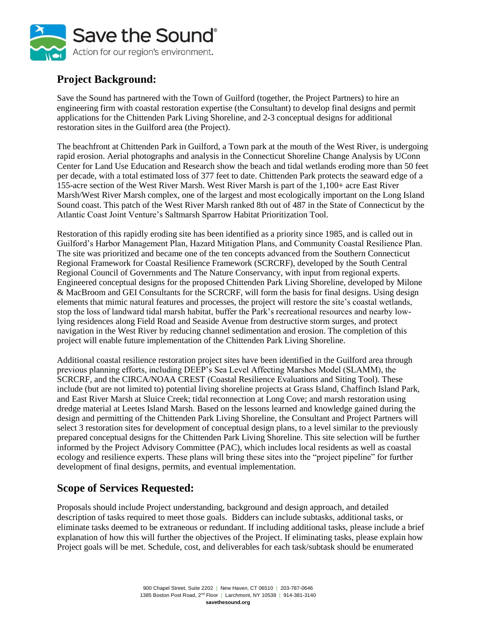

# **Project Background:**

Save the Sound has partnered with the Town of Guilford (together, the Project Partners) to hire an engineering firm with coastal restoration expertise (the Consultant) to develop final designs and permit applications for the Chittenden Park Living Shoreline, and 2-3 conceptual designs for additional restoration sites in the Guilford area (the Project).

The beachfront at Chittenden Park in Guilford, a Town park at the mouth of the West River, is undergoing rapid erosion. Aerial photographs and analysis in the Connecticut Shoreline Change Analysis by UConn Center for Land Use Education and Research show the beach and tidal wetlands eroding more than 50 feet per decade, with a total estimated loss of 377 feet to date. Chittenden Park protects the seaward edge of a 155-acre section of the West River Marsh. West River Marsh is part of the 1,100+ acre East River Marsh/West River Marsh complex, one of the largest and most ecologically important on the Long Island Sound coast. This patch of the West River Marsh ranked 8th out of 487 in the State of Connecticut by the Atlantic Coast Joint Venture's Saltmarsh Sparrow Habitat Prioritization Tool.

Restoration of this rapidly eroding site has been identified as a priority since 1985, and is called out in Guilford's Harbor Management Plan, Hazard Mitigation Plans, and Community Coastal Resilience Plan. The site was prioritized and became one of the ten concepts advanced from the Southern Connecticut Regional Framework for Coastal Resilience Framework (SCRCRF), developed by the South Central Regional Council of Governments and The Nature Conservancy, with input from regional experts. Engineered conceptual designs for the proposed Chittenden Park Living Shoreline, developed by Milone & MacBroom and GEI Consultants for the SCRCRF, will form the basis for final designs. Using design elements that mimic natural features and processes, the project will restore the site's coastal wetlands, stop the loss of landward tidal marsh habitat, buffer the Park's recreational resources and nearby lowlying residences along Field Road and Seaside Avenue from destructive storm surges, and protect navigation in the West River by reducing channel sedimentation and erosion. The completion of this project will enable future implementation of the Chittenden Park Living Shoreline.

Additional coastal resilience restoration project sites have been identified in the Guilford area through previous planning efforts, including DEEP's Sea Level Affecting Marshes Model (SLAMM), the SCRCRF, and the CIRCA/NOAA CREST (Coastal Resilience Evaluations and Siting Tool). These include (but are not limited to) potential living shoreline projects at Grass Island, Chaffinch Island Park, and East River Marsh at Sluice Creek; tidal reconnection at Long Cove; and marsh restoration using dredge material at Leetes Island Marsh. Based on the lessons learned and knowledge gained during the design and permitting of the Chittenden Park Living Shoreline, the Consultant and Project Partners will select 3 restoration sites for development of conceptual design plans, to a level similar to the previously prepared conceptual designs for the Chittenden Park Living Shoreline. This site selection will be further informed by the Project Advisory Committee (PAC), which includes local residents as well as coastal ecology and resilience experts. These plans will bring these sites into the "project pipeline" for further development of final designs, permits, and eventual implementation.

# **Scope of Services Requested:**

Proposals should include Project understanding, background and design approach, and detailed description of tasks required to meet those goals. Bidders can include subtasks, additional tasks, or eliminate tasks deemed to be extraneous or redundant. If including additional tasks, please include a brief explanation of how this will further the objectives of the Project. If eliminating tasks, please explain how Project goals will be met. Schedule, cost, and deliverables for each task/subtask should be enumerated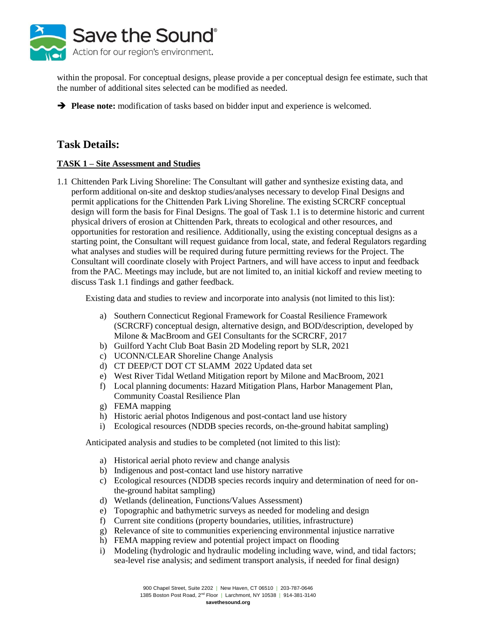

within the proposal. For conceptual designs, please provide a per conceptual design fee estimate, such that the number of additional sites selected can be modified as needed.

➔ **Please note:** modification of tasks based on bidder input and experience is welcomed.

# **Task Details:**

### **TASK 1 – Site Assessment and Studies**

1.1 Chittenden Park Living Shoreline: The Consultant will gather and synthesize existing data, and perform additional on-site and desktop studies/analyses necessary to develop Final Designs and permit applications for the Chittenden Park Living Shoreline. The existing SCRCRF conceptual design will form the basis for Final Designs. The goal of Task 1.1 is to determine historic and current physical drivers of erosion at Chittenden Park, threats to ecological and other resources, and opportunities for restoration and resilience. Additionally, using the existing conceptual designs as a starting point, the Consultant will request guidance from local, state, and federal Regulators regarding what analyses and studies will be required during future permitting reviews for the Project. The Consultant will coordinate closely with Project Partners, and will have access to input and feedback from the PAC. Meetings may include, but are not limited to, an initial kickoff and review meeting to discuss Task 1.1 findings and gather feedback.

Existing data and studies to review and incorporate into analysis (not limited to this list):

- a) Southern Connecticut Regional Framework for Coastal Resilience Framework (SCRCRF) conceptual design, alternative design, and BOD/description, developed by Milone & MacBroom and GEI Consultants for the SCRCRF, 2017
- b) Guilford Yacht Club Boat Basin 2D Modeling report by SLR, 2021
- c) UCONN/CLEAR Shoreline Change Analysis
- d) CT DEEP/CT DOT CT SLAMM 2022 Updated data set
- e) West River Tidal Wetland Mitigation report by Milone and MacBroom, 2021
- f) Local planning documents: Hazard Mitigation Plans, Harbor Management Plan, Community Coastal Resilience Plan
- g) FEMA mapping
- h) Historic aerial photos Indigenous and post-contact land use history
- i) Ecological resources (NDDB species records, on-the-ground habitat sampling)

Anticipated analysis and studies to be completed (not limited to this list):

- a) Historical aerial photo review and change analysis
- b) Indigenous and post-contact land use history narrative
- c) Ecological resources (NDDB species records inquiry and determination of need for onthe-ground habitat sampling)
- d) Wetlands (delineation, Functions/Values Assessment)
- e) Topographic and bathymetric surveys as needed for modeling and design
- f) Current site conditions (property boundaries, utilities, infrastructure)
- g) Relevance of site to communities experiencing environmental injustice narrative
- h) FEMA mapping review and potential project impact on flooding
- i) Modeling (hydrologic and hydraulic modeling including wave, wind, and tidal factors; sea-level rise analysis; and sediment transport analysis, if needed for final design)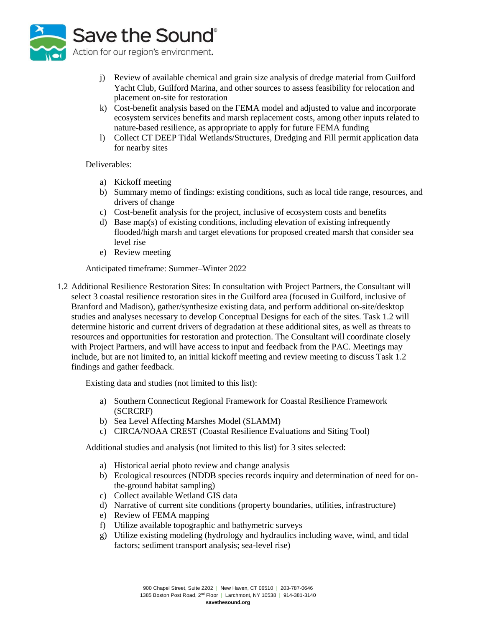

- j) Review of available chemical and grain size analysis of dredge material from Guilford Yacht Club, Guilford Marina, and other sources to assess feasibility for relocation and placement on-site for restoration
- k) Cost-benefit analysis based on the FEMA model and adjusted to value and incorporate ecosystem services benefits and marsh replacement costs, among other inputs related to nature-based resilience, as appropriate to apply for future FEMA funding
- l) Collect CT DEEP Tidal Wetlands/Structures, Dredging and Fill permit application data for nearby sites

#### Deliverables:

- a) Kickoff meeting
- b) Summary memo of findings: existing conditions, such as local tide range, resources, and drivers of change
- c) Cost-benefit analysis for the project, inclusive of ecosystem costs and benefits
- d) Base map(s) of existing conditions, including elevation of existing infrequently flooded/high marsh and target elevations for proposed created marsh that consider sea level rise
- e) Review meeting

Anticipated timeframe: Summer–Winter 2022

1.2 Additional Resilience Restoration Sites: In consultation with Project Partners, the Consultant will select 3 coastal resilience restoration sites in the Guilford area (focused in Guilford, inclusive of Branford and Madison), gather/synthesize existing data, and perform additional on-site/desktop studies and analyses necessary to develop Conceptual Designs for each of the sites. Task 1.2 will determine historic and current drivers of degradation at these additional sites, as well as threats to resources and opportunities for restoration and protection. The Consultant will coordinate closely with Project Partners, and will have access to input and feedback from the PAC. Meetings may include, but are not limited to, an initial kickoff meeting and review meeting to discuss Task 1.2 findings and gather feedback.

Existing data and studies (not limited to this list):

- a) Southern Connecticut Regional Framework for Coastal Resilience Framework (SCRCRF)
- b) Sea Level Affecting Marshes Model (SLAMM)
- c) CIRCA/NOAA CREST (Coastal Resilience Evaluations and Siting Tool)

Additional studies and analysis (not limited to this list) for 3 sites selected:

- a) Historical aerial photo review and change analysis
- b) Ecological resources (NDDB species records inquiry and determination of need for onthe-ground habitat sampling)
- c) Collect available Wetland GIS data
- d) Narrative of current site conditions (property boundaries, utilities, infrastructure)
- e) Review of FEMA mapping
- f) Utilize available topographic and bathymetric surveys
- g) Utilize existing modeling (hydrology and hydraulics including wave, wind, and tidal factors; sediment transport analysis; sea-level rise)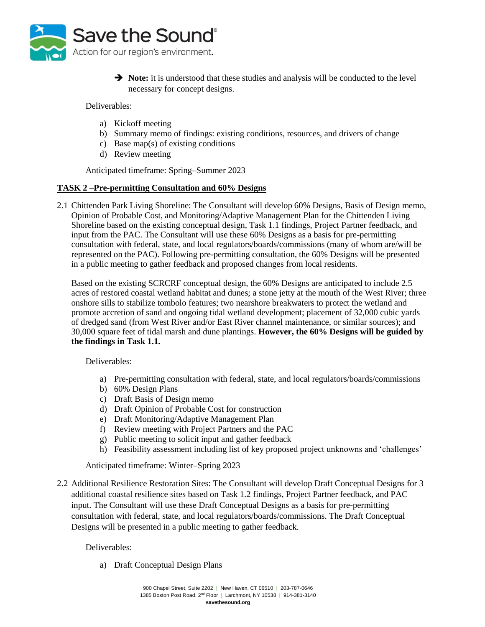

**→ Note:** it is understood that these studies and analysis will be conducted to the level necessary for concept designs.

Deliverables:

- a) Kickoff meeting
- b) Summary memo of findings: existing conditions, resources, and drivers of change
- c) Base map(s) of existing conditions
- d) Review meeting

Anticipated timeframe: Spring–Summer 2023

#### **TASK 2 –Pre-permitting Consultation and 60% Designs**

2.1 Chittenden Park Living Shoreline: The Consultant will develop 60% Designs, Basis of Design memo, Opinion of Probable Cost, and Monitoring/Adaptive Management Plan for the Chittenden Living Shoreline based on the existing conceptual design, Task 1.1 findings, Project Partner feedback, and input from the PAC. The Consultant will use these 60% Designs as a basis for pre-permitting consultation with federal, state, and local regulators/boards/commissions (many of whom are/will be represented on the PAC). Following pre-permitting consultation, the 60% Designs will be presented in a public meeting to gather feedback and proposed changes from local residents.

Based on the existing SCRCRF conceptual design, the 60% Designs are anticipated to include 2.5 acres of restored coastal wetland habitat and dunes; a stone jetty at the mouth of the West River; three onshore sills to stabilize tombolo features; two nearshore breakwaters to protect the wetland and promote accretion of sand and ongoing tidal wetland development; placement of 32,000 cubic yards of dredged sand (from West River and/or East River channel maintenance, or similar sources); and 30,000 square feet of tidal marsh and dune plantings. **However, the 60% Designs will be guided by the findings in Task 1.1.**

Deliverables:

- a) Pre-permitting consultation with federal, state, and local regulators/boards/commissions
- b) 60% Design Plans
- c) Draft Basis of Design memo
- d) Draft Opinion of Probable Cost for construction
- e) Draft Monitoring/Adaptive Management Plan
- f) Review meeting with Project Partners and the PAC
- g) Public meeting to solicit input and gather feedback
- h) Feasibility assessment including list of key proposed project unknowns and 'challenges'

Anticipated timeframe: Winter–Spring 2023

2.2 Additional Resilience Restoration Sites: The Consultant will develop Draft Conceptual Designs for 3 additional coastal resilience sites based on Task 1.2 findings, Project Partner feedback, and PAC input. The Consultant will use these Draft Conceptual Designs as a basis for pre-permitting consultation with federal, state, and local regulators/boards/commissions. The Draft Conceptual Designs will be presented in a public meeting to gather feedback.

Deliverables:

a) Draft Conceptual Design Plans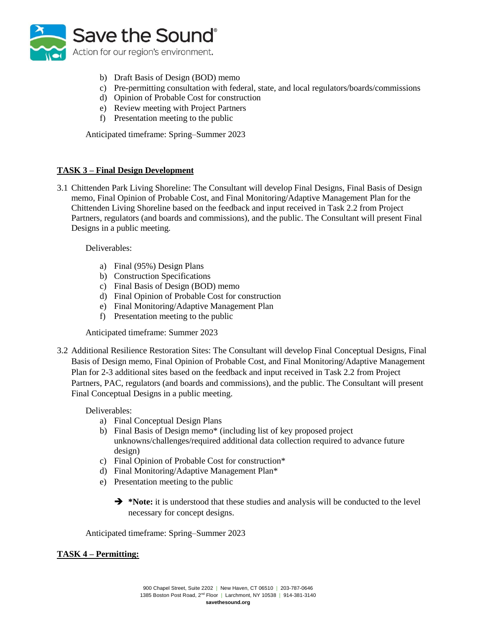

- b) Draft Basis of Design (BOD) memo
- c) Pre-permitting consultation with federal, state, and local regulators/boards/commissions
- d) Opinion of Probable Cost for construction
- e) Review meeting with Project Partners
- f) Presentation meeting to the public

Anticipated timeframe: Spring–Summer 2023

### **TASK 3 – Final Design Development**

3.1 Chittenden Park Living Shoreline: The Consultant will develop Final Designs, Final Basis of Design memo, Final Opinion of Probable Cost, and Final Monitoring/Adaptive Management Plan for the Chittenden Living Shoreline based on the feedback and input received in Task 2.2 from Project Partners, regulators (and boards and commissions), and the public. The Consultant will present Final Designs in a public meeting.

Deliverables:

- a) Final (95%) Design Plans
- b) Construction Specifications
- c) Final Basis of Design (BOD) memo
- d) Final Opinion of Probable Cost for construction
- e) Final Monitoring/Adaptive Management Plan
- f) Presentation meeting to the public

Anticipated timeframe: Summer 2023

3.2 Additional Resilience Restoration Sites: The Consultant will develop Final Conceptual Designs, Final Basis of Design memo, Final Opinion of Probable Cost, and Final Monitoring/Adaptive Management Plan for 2-3 additional sites based on the feedback and input received in Task 2.2 from Project Partners, PAC, regulators (and boards and commissions), and the public. The Consultant will present Final Conceptual Designs in a public meeting.

Deliverables:

- a) Final Conceptual Design Plans
- b) Final Basis of Design memo\* (including list of key proposed project unknowns/challenges/required additional data collection required to advance future design)
- c) Final Opinion of Probable Cost for construction\*
- d) Final Monitoring/Adaptive Management Plan\*
- e) Presentation meeting to the public
	- **→ \*Note:** it is understood that these studies and analysis will be conducted to the level necessary for concept designs.

Anticipated timeframe: Spring–Summer 2023

### **TASK 4 – Permitting:**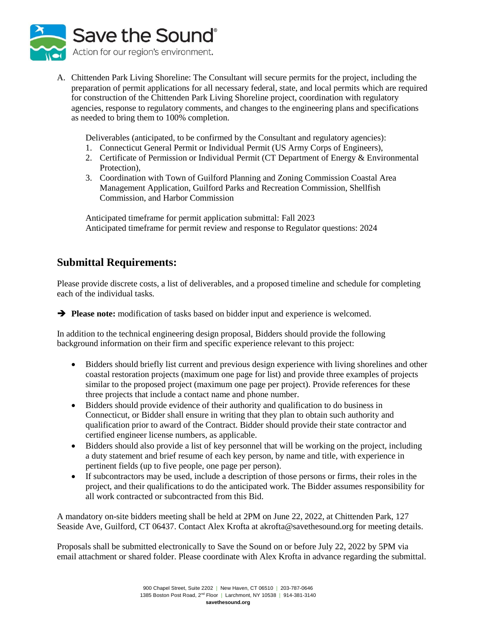

A. Chittenden Park Living Shoreline: The Consultant will secure permits for the project, including the preparation of permit applications for all necessary federal, state, and local permits which are required for construction of the Chittenden Park Living Shoreline project, coordination with regulatory agencies, response to regulatory comments, and changes to the engineering plans and specifications as needed to bring them to 100% completion.

Deliverables (anticipated, to be confirmed by the Consultant and regulatory agencies):

- 1. Connecticut General Permit or Individual Permit (US Army Corps of Engineers),
- 2. Certificate of Permission or Individual Permit (CT Department of Energy & Environmental Protection),
- 3. Coordination with Town of Guilford Planning and Zoning Commission Coastal Area Management Application, Guilford Parks and Recreation Commission, Shellfish Commission, and Harbor Commission

Anticipated timeframe for permit application submittal: Fall 2023 Anticipated timeframe for permit review and response to Regulator questions: 2024

## **Submittal Requirements:**

Please provide discrete costs, a list of deliverables, and a proposed timeline and schedule for completing each of the individual tasks.

➔ **Please note:** modification of tasks based on bidder input and experience is welcomed.

In addition to the technical engineering design proposal, Bidders should provide the following background information on their firm and specific experience relevant to this project:

- Bidders should briefly list current and previous design experience with living shorelines and other coastal restoration projects (maximum one page for list) and provide three examples of projects similar to the proposed project (maximum one page per project). Provide references for these three projects that include a contact name and phone number.
- Bidders should provide evidence of their authority and qualification to do business in Connecticut, or Bidder shall ensure in writing that they plan to obtain such authority and qualification prior to award of the Contract. Bidder should provide their state contractor and certified engineer license numbers, as applicable.
- Bidders should also provide a list of key personnel that will be working on the project, including a duty statement and brief resume of each key person, by name and title, with experience in pertinent fields (up to five people, one page per person).
- If subcontractors may be used, include a description of those persons or firms, their roles in the project, and their qualifications to do the anticipated work. The Bidder assumes responsibility for all work contracted or subcontracted from this Bid.

A mandatory on-site bidders meeting shall be held at 2PM on June 22, 2022, at Chittenden Park, 127 Seaside Ave, Guilford, CT 06437. Contact Alex Krofta at akrofta@savethesound.org for meeting details.

Proposals shall be submitted electronically to Save the Sound on or before July 22, 2022 by 5PM via email attachment or shared folder. Please coordinate with Alex Krofta in advance regarding the submittal.